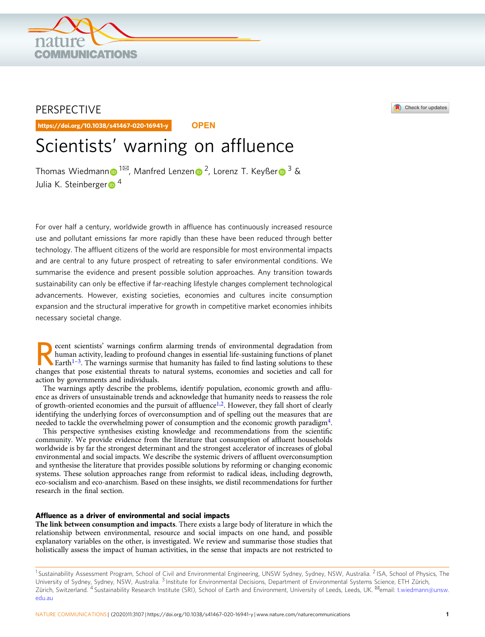# PERSPECTIVE

https://doi.org/10.1038/s41467-020-16941-y **OPEN**

**DMMUNICATIONS** 

# Scientists' warning on affluence

Thomas Wiedma[n](http://orcid.org/0000-0002-0828-5288)n  $\bigcirc$  $\bigcirc$  $\bigcirc$ <sup>[1](http://orcid.org/0000-0002-6395-8887)⊠</sup>, Manfred Lenzen  $\bigcirc$ <sup>2</sup>, Lorenz T. Keyßer  $\bigcirc$ <sup>[3](http://orcid.org/0000-0002-0823-9150)</sup> & Julia K. Steinbe[r](http://orcid.org/0000-0002-5925-9602)ger $\bullet$ <sup>4</sup>

For over half a century, worldwide growth in affluence has continuously increased resource use and pollutant emissions far more rapidly than these have been reduced through better technology. The affluent citizens of the world are responsible for most environmental impacts and are central to any future prospect of retreating to safer environmental conditions. We summarise the evidence and present possible solution approaches. Any transition towards sustainability can only be effective if far-reaching lifestyle changes complement technological advancements. However, existing societies, economies and cultures incite consumption expansion and the structural imperative for growth in competitive market economies inhibits necessary societal change.

ecent scientists' warnings confirm alarming trends of environmental degradation from<br>human activity, leading to profound changes in essential life-sustaining functions of planet<br>Earth<sup>[1](#page-7-0)–[3](#page-7-0)</sup>. The warnings surmise that humani human activity, leading to profound changes in essential life-sustaining functions of planet changes that pose existential threats to natural systems, economies and societies and call for action by governments and individuals.

The warnings aptly describe the problems, identify population, economic growth and affluence as drivers of unsustainable trends and acknowledge that humanity needs to reassess the role of growth-oriented economies and the pursuit of affluence<sup>[1](#page-7-0),2</sup>. However, they fall short of clearly identifying the underlying forces of overconsumption and of spelling out the measures that are needed to tackle the overwhelming power of consumption and the economic growth paradigm[4](#page-7-0).

This perspective synthesises existing knowledge and recommendations from the scientific community. We provide evidence from the literature that consumption of affluent households worldwide is by far the strongest determinant and the strongest accelerator of increases of global environmental and social impacts. We describe the systemic drivers of affluent overconsumption and synthesise the literature that provides possible solutions by reforming or changing economic systems. These solution approaches range from reformist to radical ideas, including degrowth, eco-socialism and eco-anarchism. Based on these insights, we distil recommendations for further research in the final section.

# Affluence as a driver of environmental and social impacts

The link between consumption and impacts. There exists a large body of literature in which the relationship between environmental, resource and social impacts on one hand, and possible explanatory variables on the other, is investigated. We review and summarise those studies that holistically assess the impact of human activities, in the sense that impacts are not restricted to





<sup>&</sup>lt;sup>1</sup> Sustainability Assessment Program, School of Civil and Environmental Engineering, UNSW Sydney, Nyw, Australia. <sup>2</sup> ISA, School of Physics, The University of Sydney, Sydney, NSW, Australia. <sup>3</sup> Institute for Environmental Decisions, Department of Environmental Systems Science, ETH Zürich, Zürich, Switzerland. <sup>4</sup> Sustainability Research Institute (SRI), School of Earth and Environment, University of Leeds, Leeds, UK. <sup>&</sup>email: [t.wiedmann@unsw.](mailto:t.wiedmann@unsw.edu.au) [edu.au](mailto:t.wiedmann@unsw.edu.au)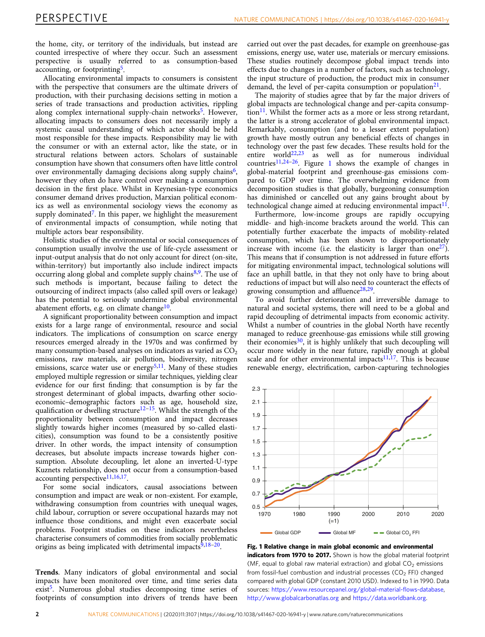<span id="page-1-0"></span>the home, city, or territory of the individuals, but instead are counted irrespective of where they occur. Such an assessment perspective is usually referred to as consumption-based accounting, or footprinting<sup>[5](#page-7-0)</sup>.

Allocating environmental impacts to consumers is consistent with the perspective that consumers are the ultimate drivers of production, with their purchasing decisions setting in motion a series of trade transactions and production activities, rippling along complex international supply-chain networks<sup>[5](#page-7-0)</sup>. However, allocating impacts to consumers does not necessarily imply a systemic causal understanding of which actor should be held most responsible for these impacts. Responsibility may lie with the consumer or with an external actor, like the state, or in structural relations between actors. Scholars of sustainable consumption have shown that consumers often have little control over environmentally damaging decisions along supply chains<sup>6</sup>, however they often do have control over making a consumption decision in the first place. Whilst in Keynesian-type economics consumer demand drives production, Marxian political economics as well as environmental sociology views the economy as supply dominated<sup>7</sup>. In this paper, we highlight the measurement of environmental impacts of consumption, while noting that multiple actors bear responsibility.

Holistic studies of the environmental or social consequences of consumption usually involve the use of life-cycle assessment or input-output analysis that do not only account for direct (on-site, within-territory) but importantly also include indirect impacts occurring along global and complete supply chains $8,9$  $8,9$ . The use of such methods is important, because failing to detect the outsourcing of indirect impacts (also called spill overs or leakage) has the potential to seriously undermine global environmental abatement efforts, e.g. on climate change<sup>[10](#page-7-0)</sup>.

A significant proportionality between consumption and impact exists for a large range of environmental, resource and social indicators. The implications of consumption on scarce energy resources emerged already in the 1970s and was confirmed by many consumption-based analyses on indicators as varied as  $CO<sub>2</sub>$ emissions, raw materials, air pollution, biodiversity, nitrogen emissions, scarce water use or energy<sup>[5,11](#page-7-0)</sup>. Many of these studies employed multiple regression or similar techniques, yielding clear evidence for our first finding: that consumption is by far the strongest determinant of global impacts, dwarfing other socioeconomic–demographic factors such as age, household size, qualification or dwelling structure $12-15$  $12-15$  $12-15$ . Whilst the strength of the proportionality between consumption and impact decreases slightly towards higher incomes (measured by so-called elasticities), consumption was found to be a consistently positive driver. In other words, the impact intensity of consumption decreases, but absolute impacts increase towards higher consumption. Absolute decoupling, let alone an inverted-U-type Kuznets relationship, does not occur from a consumption-based accounting perspective $11,16,17$ .

For some social indicators, causal associations between consumption and impact are weak or non-existent. For example, withdrawing consumption from countries with unequal wages, child labour, corruption or severe occupational hazards may not influence those conditions, and might even exacerbate social problems. Footprint studies on these indicators nevertheless characterise consumers of commodities from socially problematic origins as being implicated with detrimental impacts $9,18-20$  $9,18-20$  $9,18-20$  $9,18-20$  $9,18-20$ .

Trends. Many indicators of global environmental and social impacts have been monitored over time, and time series data exist<sup>[5](#page-7-0)</sup>. Numerous global studies decomposing time series of footprints of consumption into drivers of trends have been

carried out over the past decades, for example on greenhouse-gas emissions, energy use, water use, materials or mercury emissions. These studies routinely decompose global impact trends into effects due to changes in a number of factors, such as technology, the input structure of production, the product mix in consumer demand, the level of per-capita consumption or population $2<sup>1</sup>$ .

The majority of studies agree that by far the major drivers of global impacts are technological change and per-capita consump- $\chi$  tion<sup>[11](#page-7-0)</sup>. Whilst the former acts as a more or less strong retardant, the latter is a strong accelerator of global environmental impact. Remarkably, consumption (and to a lesser extent population) growth have mostly outrun any beneficial effects of changes in technology over the past few decades. These results hold for the entire world<sup>22,23</sup> as well as for numerous individual countries[11,24](#page-7-0)–[26.](#page-7-0) Figure 1 shows the example of changes in global-material footprint and greenhouse-gas emissions compared to GDP over time. The overwhelming evidence from decomposition studies is that globally, burgeoning consumption has diminished or cancelled out any gains brought about by technological change aimed at reducing environmental impact $<sup>11</sup>$ .</sup>

Furthermore, low-income groups are rapidly occupying middle- and high-income brackets around the world. This can potentially further exacerbate the impacts of mobility-related consumption, which has been shown to disproportionately increase with income (i.e. the elasticity is larger than one  $27$ ). This means that if consumption is not addressed in future efforts for mitigating environmental impact, technological solutions will face an uphill battle, in that they not only have to bring about reductions of impact but will also need to counteract the effects of growing consumption and affluence $28,29$  $28,29$  $28,29$ .

To avoid further deterioration and irreversible damage to natural and societal systems, there will need to be a global and rapid decoupling of detrimental impacts from economic activity. Whilst a number of countries in the global North have recently managed to reduce greenhouse-gas emissions while still growing their economies<sup>30</sup>, it is highly unlikely that such decoupling will occur more widely in the near future, rapidly enough at global scale and for other environmental impacts $11,17$ . This is because renewable energy, electrification, carbon-capturing technologies



Fig. 1 Relative change in main global economic and environmental indicators from 1970 to 2017. Shown is how the global material footprint (MF, equal to global raw material extraction) and global  $CO<sub>2</sub>$  emissions from fossil-fuel combustion and industrial processes ( $CO<sub>2</sub>$  FFI) changed compared with global GDP (constant 2010 USD). Indexed to 1 in 1990. Data sources: [https://www.resourcepanel.org/global-material-](https://www.resourcepanel.org/global-material-flows-database)flows-database, <http://www.globalcarbonatlas.org> and <https://data.worldbank.org>.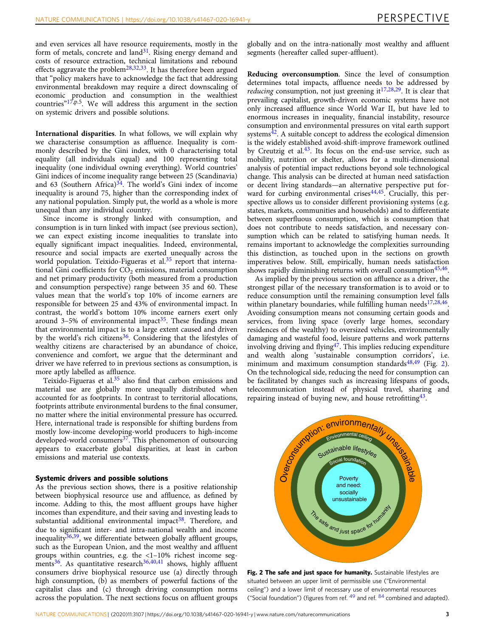<span id="page-2-0"></span>and even services all have resource requirements, mostly in the form of metals, concrete and  $land^{31}$ . Rising energy demand and costs of resource extraction, technical limitations and rebound effects aggravate the problem<sup>[28,](#page-7-0)32,33</sup>. It has therefore been argued that "policy makers have to acknowledge the fact that addressing environmental breakdown may require a direct downscaling of economic production and consumption in the wealthiest countries" $17$ , p.5. We will address this argument in the section on systemic drivers and possible solutions.

International disparities. In what follows, we will explain why we characterise consumption as affluence. Inequality is commonly described by the Gini index, with 0 characterising total equality (all individuals equal) and 100 representing total inequality (one individual owning everything). World countries' Gini indices of income inequality range between 25 (Scandinavia) and 63 (Southern Africa) $34$ . The world's Gini index of income inequality is around 75, higher than the corresponding index of any national population. Simply put, the world as a whole is more unequal than any individual country.

Since income is strongly linked with consumption, and consumption is in turn linked with impact (see previous section), we can expect existing income inequalities to translate into equally significant impact inequalities. Indeed, environmental, resource and social impacts are exerted unequally across the world population. Teixido-Figueras et al.<sup>[35](#page-8-0)</sup> report that international Gini coefficients for  $CO<sub>2</sub>$  emissions, material consumption and net primary productivity (both measured from a production and consumption perspective) range between 35 and 60. These values mean that the world's top 10% of income earners are responsible for between 25 and 43% of environmental impact. In contrast, the world's bottom 10% income earners exert only around 3–5% of environmental impact<sup>[35](#page-8-0)</sup>. These findings mean that environmental impact is to a large extent caused and driven by the world's rich citizens<sup>36</sup>. Considering that the lifestyles of wealthy citizens are characterised by an abundance of choice, convenience and comfort, we argue that the determinant and driver we have referred to in previous sections as consumption, is more aptly labelled as affluence.

Teixido-Figueras et al.<sup>[35](#page-8-0)</sup> also find that carbon emissions and material use are globally more unequally distributed when accounted for as footprints. In contrast to territorial allocations, footprints attribute environmental burdens to the final consumer, no matter where the initial environmental pressure has occurred. Here, international trade is responsible for shifting burdens from mostly low-income developing-world producers to high-income developed-world consumers<sup>37</sup>. This phenomenon of outsourcing appears to exacerbate global disparities, at least in carbon emissions and material use contexts.

# Systemic drivers and possible solutions

As the previous section shows, there is a positive relationship between biophysical resource use and affluence, as defined by income. Adding to this, the most affluent groups have higher incomes than expenditure, and their saving and investing leads to substantial additional environmental impact<sup>[38](#page-8-0)</sup>. Therefore, and due to significant inter- and intra-national wealth and income inequality $36,39$  $36,39$ , we differentiate between globally affluent groups, such as the European Union, and the most wealthy and affluent groups within countries, e.g. the <1–10% richest income segments $36$ . As quantitative research $36,40,41$  shows, highly affluent consumers drive biophysical resource use (a) directly through high consumption, (b) as members of powerful factions of the capitalist class and (c) through driving consumption norms across the population. The next sections focus on affluent groups globally and on the intra-nationally most wealthy and affluent segments (hereafter called super-affluent).

Reducing overconsumption. Since the level of consumption determines total impacts, affluence needs to be addressed by *reducing* consumption, not just greening it<sup>17,28,29</sup>. It is clear that prevailing capitalist, growth-driven economic systems have not only increased affluence since World War II, but have led to enormous increases in inequality, financial instability, resource consumption and environmental pressures on vital earth support systems $42$ . A suitable concept to address the ecological dimension is the widely established avoid-shift-improve framework outlined by Creutzig et al. $43$ . Its focus on the end-use service, such as mobility, nutrition or shelter, allows for a multi-dimensional analysis of potential impact reductions beyond sole technological change. This analysis can be directed at human need satisfaction or decent living standards—an alternative perspective put forward for curbing environmental crises  $44,45$ . Crucially, this perspective allows us to consider different provisioning systems (e.g. states, markets, communities and households) and to differentiate between superfluous consumption, which is consumption that does not contribute to needs satisfaction, and necessary consumption which can be related to satisfying human needs. It remains important to acknowledge the complexities surrounding this distinction, as touched upon in the sections on growth imperatives below. Still, empirically, human needs satisfaction shows rapidly diminishing returns with overall consumption<sup>45,46</sup>.

As implied by the previous section on affluence as a driver, the strongest pillar of the necessary transformation is to avoid or to reduce consumption until the remaining consumption level falls within planetary boundaries, while fulfilling human needs $17,28,46$  $17,28,46$ . Avoiding consumption means not consuming certain goods and services, from living space (overly large homes, secondary residences of the wealthy) to oversized vehicles, environmentally damaging and wasteful food, leisure patterns and work patterns involving driving and flying<sup>47</sup>. This implies reducing expenditure and wealth along 'sustainable consumption corridors', i.e. minimum and maximum consumption standards $48,49$  (Fig. 2). On the technological side, reducing the need for consumption can be facilitated by changes such as increasing lifespans of goods, telecommunication instead of physical travel, sharing and repairing instead of buying new, and house retrofitting  $43$ .



Fig. 2 The safe and just space for humanity. Sustainable lifestyles are situated between an upper limit of permissible use ("Environmental ceiling") and a lower limit of necessary use of environmental resources ("Social foundation") (figures from ref.  $49$  and ref.  $84$  combined and adapted).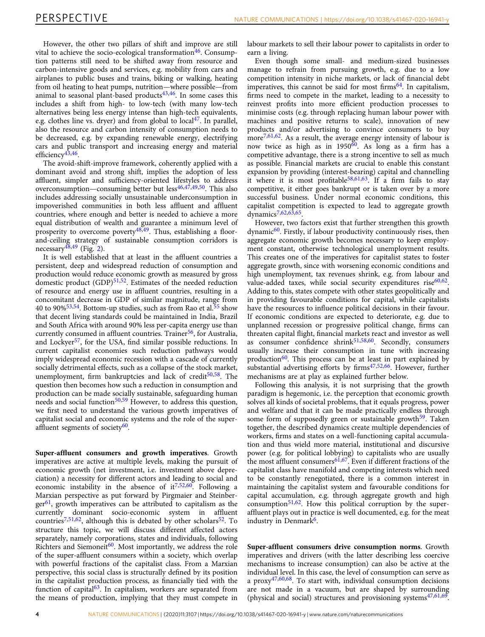However, the other two pillars of shift and improve are still vital to achieve the socio-ecological transformation<sup>[46](#page-8-0)</sup>. Consumption patterns still need to be shifted away from resource and carbon-intensive goods and services, e.g. mobility from cars and airplanes to public buses and trains, biking or walking, heating from oil heating to heat pumps, nutrition—where possible—from animal to seasonal plant-based products $43,46$ . In some cases this includes a shift from high- to low-tech (with many low-tech alternatives being less energy intense than high-tech equivalents, e.g. clothes line vs. dryer) and from global to local<sup>47</sup>. In parallel, also the resource and carbon intensity of consumption needs to be decreased, e.g. by expanding renewable energy, electrifying cars and public transport and increasing energy and material efficiency $43,46$  $43,46$  $43,46$ .

The avoid-shift-improve framework, coherently applied with a dominant avoid and strong shift, implies the adoption of less affluent, simpler and sufficiency-oriented lifestyles to address overconsumption—consuming better but less $46,47,49,50$ . This also includes addressing socially unsustainable underconsumption in impoverished communities in both less affluent and affluent countries, where enough and better is needed to achieve a more equal distribution of wealth and guarantee a minimum level of prosperity to overcome poverty $48,49$ . Thus, establishing a floorand-ceiling strategy of sustainable consumption corridors is necessary $\frac{48,49}{1}$  $\frac{48,49}{1}$  $\frac{48,49}{1}$  (Fig. [2](#page-2-0)).

It is well established that at least in the affluent countries a persistent, deep and widespread reduction of consumption and production would reduce economic growth as measured by gross domestic product  $(GDP)^{51,52}$  $(GDP)^{51,52}$  $(GDP)^{51,52}$  $(GDP)^{51,52}$  $(GDP)^{51,52}$ . Estimates of the needed reduction of resource and energy use in affluent countries, resulting in a concomitant decrease in GDP of similar magnitude, range from 40 to 90% $53,54$ . Bottom-up studies, such as from Rao et al.<sup>55</sup> show that decent living standards could be maintained in India, Brazil and South Africa with around 90% less per-capita energy use than currently consumed in affluent countries. Trainer $56$ , for Australia, and Lockyer<sup>[57](#page-8-0)</sup>, for the USA, find similar possible reductions. In current capitalist economies such reduction pathways would imply widespread economic recession with a cascade of currently socially detrimental effects, such as a collapse of the stock market, unemployment, firm bankruptcies and lack of credit<sup>50,[58](#page-8-0)</sup>. The question then becomes how such a reduction in consumption and production can be made socially sustainable, safeguarding human needs and social function $50,59$  $50,59$  $50,59$  However, to address this question, we first need to understand the various growth imperatives of capitalist social and economic systems and the role of the super-affluent segments of society<sup>[60](#page-8-0)</sup>.

Super-affluent consumers and growth imperatives. Growth imperatives are active at multiple levels, making the pursuit of economic growth (net investment, i.e. investment above depreciation) a necessity for different actors and leading to social and economic instability in the absence of it<sup>[7](#page-7-0),[52](#page-8-0),[60](#page-8-0)</sup>. Following a Marxian perspective as put forward by Pirgmaier and Steinber $ger<sup>61</sup>$ , growth imperatives can be attributed to capitalism as the currently dominant socio-economic system in affluent countries<sup>[7](#page-7-0),[51](#page-8-0),62</sup>, although this is debated by other scholars<sup>52</sup>. To structure this topic, we will discuss different affected actors separately, namely corporations, states and individuals, following Richters and Siemoneit<sup>60</sup>. Most importantly, we address the role of the super-affluent consumers within a society, which overlap with powerful fractions of the capitalist class. From a Marxian perspective, this social class is structurally defined by its position in the capitalist production process, as financially tied with the function of capital $63$ . In capitalism, workers are separated from the means of production, implying that they must compete in

labour markets to sell their labour power to capitalists in order to earn a living.

Even though some small- and medium-sized businesses manage to refrain from pursuing growth, e.g. due to a low competition intensity in niche markets, or lack of financial debt imperatives, this cannot be said for most firms  $64$ . In capitalism, firms need to compete in the market, leading to a necessity to reinvest profits into more efficient production processes to minimise costs (e.g. through replacing human labour power with machines and positive returns to scale), innovation of new products and/or advertising to convince consumers to buy more $\frac{7,61,62}{ }$  $\frac{7,61,62}{ }$  $\frac{7,61,62}{ }$ . As a result, the average energy intensity of labour is now twice as high as in  $1950^{60}$ . As long as a firm has a competitive advantage, there is a strong incentive to sell as much as possible. Financial markets are crucial to enable this constant expansion by providing (interest-bearing) capital and channelling it where it is most profitable<sup>58,61,63</sup>. If a firm fails to stay competitive, it either goes bankrupt or is taken over by a more successful business. Under normal economic conditions, this capitalist competition is expected to lead to aggregate growth dynamics[7](#page-7-0),[62](#page-8-0),[63](#page-8-0),[65](#page-8-0).

However, two factors exist that further strengthen this growth  $\gamma$  dynamic<sup>60</sup>. Firstly, if labour productivity continuously rises, then aggregate economic growth becomes necessary to keep employment constant, otherwise technological unemployment results. This creates one of the imperatives for capitalist states to foster aggregate growth, since with worsening economic conditions and high unemployment, tax revenues shrink, e.g. from labour and value-added taxes, while social security expenditures rise $60,62$ . Adding to this, states compete with other states geopolitically and in providing favourable conditions for capital, while capitalists have the resources to influence political decisions in their favour. If economic conditions are expected to deteriorate, e.g. due to unplanned recession or progressive political change, firms can threaten capital flight, financial markets react and investor as well as consumer confidence shrink<sup>[51,58](#page-8-0),[60](#page-8-0)</sup>. Secondly, consumers usually increase their consumption in tune with increasing production $60$ . This process can be at least in part explained by substantial advertising efforts by firms<sup>47,52,[66](#page-8-0)</sup>. However, further mechanisms are at play as explained further below.

Following this analysis, it is not surprising that the growth paradigm is hegemonic, i.e. the perception that economic growth solves all kinds of societal problems, that it equals progress, power and welfare and that it can be made practically endless through some form of supposedly green or sustainable growth<sup>[59](#page-8-0)</sup>. Taken together, the described dynamics create multiple dependencies of workers, firms and states on a well-functioning capital accumulation and thus wield more material, institutional and discursive power (e.g. for political lobbying) to capitalists who are usually the most affluent consumers<sup>[61](#page-8-0),67</sup>. Even if different fractions of the capitalist class have manifold and competing interests which need to be constantly renegotiated, there is a common interest in maintaining the capitalist system and favourable conditions for capital accumulation, e.g. through aggregate growth and high  $\overline{\text{consumption}}^{51,62}$ . How this political corruption by the superaffluent plays out in practice is well documented, e.g. for the meat industry in Denmark<sup>6</sup>.

Super-affluent consumers drive consumption norms. Growth imperatives and drivers (with the latter describing less coercive mechanisms to increase consumption) can also be active at the individual level. In this case, the level of consumption can serve as a  $proxy^{47,60,68}$ . To start with, individual consumption decisions are not made in a vacuum, but are shaped by surrounding (physical and social) structures and provisioning systems $47,61,69$ .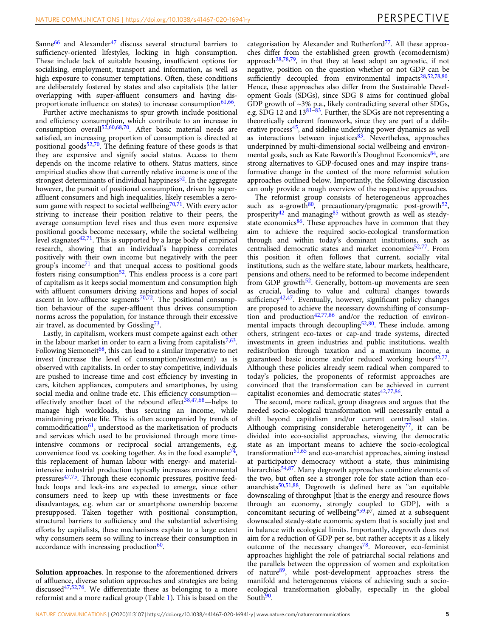Sanne<sup>66</sup> and Alexander<sup>[47](#page-8-0)</sup> discuss several structural barriers to sufficiency-oriented lifestyles, locking in high consumption. These include lack of suitable housing, insufficient options for socialising, employment, transport and information, as well as high exposure to consumer temptations. Often, these conditions are deliberately fostered by states and also capitalists (the latter overlapping with super-affluent consumers and having disproportionate influence on states) to increase consumption $61,66$ .

Further active mechanisms to spur growth include positional and efficiency consumption, which contribute to an increase in consumption overall $52,60,68,70$ . After basic material needs are satisfied, an increasing proportion of consumption is directed at positional goods $52,70$ . The defining feature of these goods is that they are expensive and signify social status. Access to them depends on the income relative to others. Status matters, since empirical studies show that currently relative income is one of the strongest determinants of individual happiness $52$ . In the aggregate however, the pursuit of positional consumption, driven by superaffluent consumers and high inequalities, likely resembles a zerosum game with respect to societal wellbeing $70,71$  $70,71$  $70,71$ . With every actor striving to increase their position relative to their peers, the average consumption level rises and thus even more expensive positional goods become necessary, while the societal wellbeing level stagnates $42,71$ . This is supported by a large body of empirical research, showing that an individual's happiness correlates positively with their own income but negatively with the peer group's income<sup>[71](#page-8-0)</sup> and that unequal access to positional goods fosters rising consumption<sup>[52](#page-8-0)</sup>. This endless process is a core part of capitalism as it keeps social momentum and consumption high with affluent consumers driving aspirations and hopes of social ascent in low-affluence segments<sup>70,72</sup>. The positional consumption behaviour of the super-affluent thus drives consumption norms across the population, for instance through their excessive air travel, as documented by Gössling<sup>[73](#page-8-0)</sup>.

Lastly, in capitalism, workers must compete against each other in the labour market in order to earn a living from capitalists $7,63$ . Following Siemoneit<sup>[68](#page-8-0)</sup>, this can lead to a similar imperative to net invest (increase the level of consumption/investment) as is observed with capitalists. In order to stay competitive, individuals are pushed to increase time and cost efficiency by investing in cars, kitchen appliances, computers and smartphones, by using social media and online trade etc. This efficiency consumption— effectively another facet of the rebound effect<sup>[38,47](#page-8-0),[68](#page-8-0)</sup>-helps to manage high workloads, thus securing an income, while maintaining private life. This is often accompanied by trends of commodification<sup>[61](#page-8-0)</sup>, understood as the marketisation of products and services which used to be provisioned through more timeintensive commons or reciprocal social arrangements, e.g. convenience food vs. cooking together. As in the food example<sup>74</sup>, this replacement of human labour with energy- and materialintensive industrial production typically increases environmental pressures $47,75$ . Through these economic pressures, positive feedback loops and lock-ins are expected to emerge, since other consumers need to keep up with these investments or face disadvantages, e.g. when car or smartphone ownership become presupposed. Taken together with positional consumption, structural barriers to sufficiency and the substantial advertising efforts by capitalists, these mechanisms explain to a large extent why consumers seem so willing to increase their consumption in accordance with increasing production<sup>60</sup>.

Solution approaches. In response to the aforementioned drivers of affluence, diverse solution approaches and strategies are being discussed[47,52,76](#page-8-0). We differentiate these as belonging to a more reformist and a more radical group (Table [1](#page-5-0)). This is based on the

categorisation by Alexander and Rutherford<sup>77</sup>. All these approaches differ from the established green growth (ecomodernism) approach<sup>[28](#page-7-0)[,78,79](#page-8-0)</sup>, in that they at least adopt an agnostic, if not negative, position on the question whether or not GDP can be sufficiently decoupled from environmental impacts<sup>28,52,78,80</sup>. Hence, these approaches also differ from the Sustainable Development Goals (SDGs), since SDG 8 aims for continued global GDP growth of ~3% p.a., likely contradicting several other SDGs, e.g.  $\overrightarrow{SDG}$  12 and 13<sup>[81](#page-8-0)–[83](#page-8-0)</sup>. Further, the SDGs are not representing a theoretically coherent framework, since they are part of a deliberative process $45$ , and sideline underlying power dynamics as well as interactions between injustices $8^3$ . Nevertheless, approaches underpinned by multi-dimensional social wellbeing and environmental goals, such as Kate Raworth's Doughnut Economics<sup>84</sup>, are strong alternatives to GDP-focused ones and may inspire transformative change in the context of the more reformist solution approaches outlined below. Importantly, the following discussion can only provide a rough overview of the respective approaches.

The reformist group consists of heterogeneous approaches such as a-growth<sup>[80](#page-8-0)</sup>, precautionary/pragmatic post-growth<sup>52</sup>, prosperity<sup>[42](#page-8-0)</sup> and managing<sup>[85](#page-8-0)</sup> without growth as well as steadystate economics $86$ . These approaches have in common that they aim to achieve the required socio-ecological transformation through and within today's dominant institutions, such as centralised democratic states and market economies<sup>52,77</sup>. From this position it often follows that current, socially vital institutions, such as the welfare state, labour markets, healthcare, pensions and others, need to be reformed to become independent from GDP growth<sup>52</sup>. Generally, bottom-up movements are seen as crucial, leading to value and cultural changes towards sufficiency $42,47$ . Eventually, however, significant policy changes are proposed to achieve the necessary downshifting of consumption and production $42,77,86$  $42,77,86$  $42,77,86$  $42,77,86$  $42,77,86$  and/or the reduction of environmental impacts through decoupling $52,80$ . These include, among others, stringent eco-taxes or cap-and trade systems, directed investments in green industries and public institutions, wealth redistribution through taxation and a maximum income, a guaranteed basic income and/or reduced working hours<sup>42,77</sup>. Although these policies already seem radical when compared to today's policies, the proponents of reformist approaches are convinced that the transformation can be achieved in current capitalist economies and democratic states $42,77,86$  $42,77,86$  $42,77,86$  $42,77,86$ .

The second, more radical, group disagrees and argues that the needed socio-ecological transformation will necessarily entail a shift beyond capitalism and/or current centralised states. Although comprising considerable heterogeneity<sup>77</sup>, it can be divided into eco-socialist approaches, viewing the democratic state as an important means to achieve the socio-ecological transformation<sup>[51,65](#page-8-0)</sup> and eco-anarchist approaches, aiming instead at participatory democracy without a state, thus minimising hierarchies<sup>[54](#page-8-0),[87](#page-8-0)</sup>. Many degrowth approaches combine elements of the two, but often see a stronger role for state action than ecoanarchists<sup>50,51,88</sup>. Degrowth is defined here as "an equitable downscaling of throughput [that is the energy and resource flows through an economy, strongly coupled to GDP], with a concomitant securing of wellbeing<sup>"[59,](#page-8-0)p7</sup>, aimed at a subsequent downscaled steady-state economic system that is socially just and in balance with ecological limits. Importantly, degrowth does not aim for a reduction of GDP per se, but rather accepts it as a likely outcome of the necessary changes<sup>[78](#page-8-0)</sup>. Moreover, eco-feminist approaches highlight the role of patriarchal social relations and the parallels between the oppression of women and exploitation of nature[89](#page-8-0), while post-development approaches stress the manifold and heterogeneous visions of achieving such a socioecological transformation globally, especially in the global South<sup>90</sup>.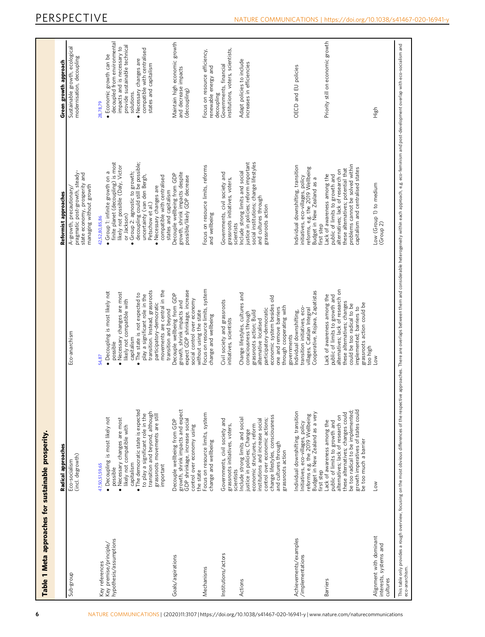<span id="page-5-0"></span>

|                                                                    | Radical approaches                                                                                                                                                                                                                                                                                  |                                                                                                                                                                                                                                                                                                      | Reformist approaches                                                                                                                                                                                                                                                                                                          | Green growth approach                                                                                                                                                                                                                            |
|--------------------------------------------------------------------|-----------------------------------------------------------------------------------------------------------------------------------------------------------------------------------------------------------------------------------------------------------------------------------------------------|------------------------------------------------------------------------------------------------------------------------------------------------------------------------------------------------------------------------------------------------------------------------------------------------------|-------------------------------------------------------------------------------------------------------------------------------------------------------------------------------------------------------------------------------------------------------------------------------------------------------------------------------|--------------------------------------------------------------------------------------------------------------------------------------------------------------------------------------------------------------------------------------------------|
| Sub-group                                                          | (incl. degrowth)<br>Eco-socialism                                                                                                                                                                                                                                                                   | Eco-anarchism                                                                                                                                                                                                                                                                                        | state economy, prosperity and<br>managing without growth<br>pragmatic post-growth, steady<br>A-growth, precautionary/                                                                                                                                                                                                         | Sustainable growth, ecological<br>modernisation, decoupling                                                                                                                                                                                      |
| Key premise/principle/<br>hypothesis/assumptions<br>Key references | · The democratic state is expected<br>transition and beyond, although<br>to play a significant role in the<br>grassroots movements are still<br>· Decoupling is most likely not<br>Necessary changes are most<br>likely not compatible with<br>4750,51,59,65<br>capitalism<br>important<br>possible | movements are central in the<br>transition. Instead, grassroots<br>· Decoupling is most likely not<br>Necessary changes are most<br>The state is not expected to<br>play a significant role in the<br>likely not compatible with<br>participatory-democratic<br>capitalism<br>possible<br>54,87<br>ó | finite planet (decoupling) is most<br>decoupling could still be possible;<br>likely not possible (Daly, Victor<br>Group 1: infinite growth on a<br>Group 2: agnostic to growth;<br>uncertainty (van den Bergh,<br>compatible with centralised<br>· Necessary changes are<br>Petschow et al.)<br>or Jackson)<br>42,52,80,85,86 | decoupled from environmental<br>provide sustainable technical<br>impacts and is necessary to<br>compatible with centralised<br>· Economic growth can be<br>Necessary changes are<br>states and capitalism<br>solutions.<br>28,78,79<br>$\bullet$ |
| Goals/aspirations                                                  | growth, shrink impacts and expect<br>Decouple wellbeing from GDP<br>GDP shrinkage, increase social<br>control over economy using                                                                                                                                                                    | expect GDP shrinkage, increase<br>Decouple wellbeing from GDP<br>social control over economy<br>growth, shrink impacts and<br>transition and beyond                                                                                                                                                  | growth, shrink impacts despite<br>Decouple wellbeing from GDP<br>possible/likely GDP decrease<br>states and capitalism                                                                                                                                                                                                        | Maintain high economic growth<br>and decrease impacts<br>(decoupling)                                                                                                                                                                            |
| Mechanisms                                                         | Focus on resource limits, system<br>change and wellbeing<br>the state                                                                                                                                                                                                                               | Focus on resource limits, system<br>without using the state<br>change and wellbeing                                                                                                                                                                                                                  | Focus on resource limits, reforms<br>and wellbeing                                                                                                                                                                                                                                                                            | Focus on resource efficiency,<br>renewable energy and                                                                                                                                                                                            |
| Institutions/actors                                                | Governments, civil society and<br>grassroots initiatives, voters,                                                                                                                                                                                                                                   | Civil society and grassroots<br>initiatives, scientists                                                                                                                                                                                                                                              | Governments, civil society and<br>grassroots initiatives, voters,                                                                                                                                                                                                                                                             | institutions, voters, scientists,<br>Governments, financial<br>decoupling                                                                                                                                                                        |
| Actions                                                            | change lifestyles, consciousness<br>Include strong limits and social<br>justice in policies; Change<br>institutions and increase social<br>control over economic actions;<br>economic structures, reform<br>and cultures through<br>grassroots action<br>scientists                                 | Change lifestyles, cultures and<br>economic system besides old<br>through cooperating with<br>one and remove barriers<br>participatory-democratic<br>grassroots action; Build<br>consciousness through<br>alternative localised                                                                      | social institutions; change lifestyles<br>Include strong limits and social<br>justice in policies; reform important<br>and cultures through<br>grassroots action<br>scientists                                                                                                                                                | Adapt policies to include<br>increases in efficiencies                                                                                                                                                                                           |
| Achievements/examples<br>/implementations                          | Individual downshifting, transition<br>reforms e.g. the 2019 Wellbeing<br>Budget in New Zealand as a very<br>Initiatives, eco-villages, policy                                                                                                                                                      | Cooperative, Rojava, Zapatistas<br>transition initiatives, eco-<br>villages, Catalan Integral<br>Individual downshifting,<br>governments                                                                                                                                                             | Individual downshifting, transition<br>reforms, e.g. the 2019 Wellbeing<br>initiatives, eco-villages, policy<br>Budget in New Zealand as a                                                                                                                                                                                    | OECD and EU policies                                                                                                                                                                                                                             |
| <b>Barriers</b>                                                    | growth imperatives of states could<br>be too radical to be implemented;<br>these alternatives; changes could<br>alternatives; lack of research on<br>Lack of awareness among the<br>public of limits to growth and<br>be too much a barrier<br>first step                                           | alternatives; lack of research on<br>Lack of awareness among the<br>public of limits to growth and<br>these alternatives; changes<br>grassroots action could be<br>could be too radical to be<br>implemented; barriers to<br>too high                                                                | problems cannot be solved within<br>capitalism and centralised states<br>these alternatives; potential that<br>alternatives; lack of research on<br>Lack of awareness among the<br>public of limits to growth and<br>first step                                                                                               | Priority still on economic growth                                                                                                                                                                                                                |
| Alignment with dominant<br>interests, systems and<br>cultures      | $\geq$                                                                                                                                                                                                                                                                                              | <b>NO</b>                                                                                                                                                                                                                                                                                            | Low (Group 1) to medium<br>(Group 2)                                                                                                                                                                                                                                                                                          | High                                                                                                                                                                                                                                             |
|                                                                    |                                                                                                                                                                                                                                                                                                     |                                                                                                                                                                                                                                                                                                      | This table only provides a rough overview, focusing on the most obvious differences of the respective approaches. There are overlaps between them and considerable heterogeneity within each approach, e.g. eco-feminism and p                                                                                                |                                                                                                                                                                                                                                                  |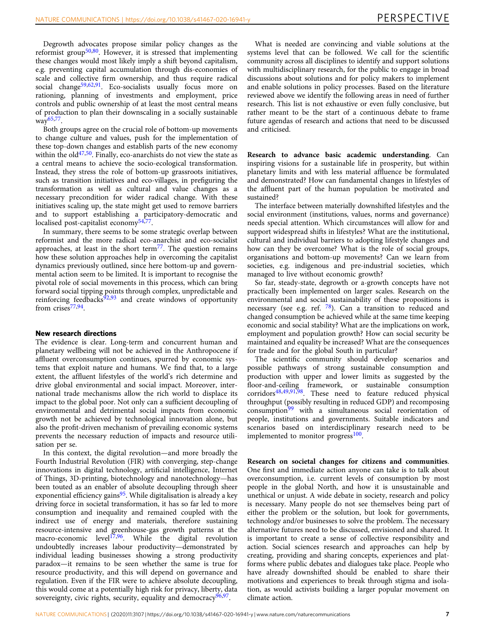Degrowth advocates propose similar policy changes as the reformist group<sup>[50](#page-8-0),80</sup>. However, it is stressed that implementing these changes would most likely imply a shift beyond capitalism, e.g. preventing capital accumulation through dis-economies of scale and collective firm ownership, and thus require radical social change<sup>[59](#page-8-0),[62](#page-8-0),[91](#page-8-0)</sup>. Eco-socialists usually focus more on rationing, planning of investments and employment, price controls and public ownership of at least the most central means of production to plan their downscaling in a socially sustainable  $way<sup>65,77</sup>$ .

Both groups agree on the crucial role of bottom-up movements to change culture and values, push for the implementation of these top-down changes and establish parts of the new economy within the  $old^{47,50}$ . Finally, eco-anarchists do not view the state as a central means to achieve the socio-ecological transformation. Instead, they stress the role of bottom-up grassroots initiatives, such as transition initiatives and eco-villages, in prefiguring the transformation as well as cultural and value changes as a necessary precondition for wider radical change. With these initiatives scaling up, the state might get used to remove barriers and to support establishing a participatory-democratic and localised post-capitalist economy[54,77.](#page-8-0)

In summary, there seems to be some strategic overlap between reformist and the more radical eco-anarchist and eco-socialist approaches, at least in the short term $^{77}$  $^{77}$  $^{77}$ . The question remains how these solution approaches help in overcoming the capitalist dynamics previously outlined, since here bottom-up and governmental action seem to be limited. It is important to recognise the pivotal role of social movements in this process, which can bring forward social tipping points through complex, unpredictable and reinforcing feedbacks $92,93$  $92,93$  $92,93$  and create windows of opportunity from crises<sup>[77](#page-8-0),[94](#page-8-0)</sup>.

#### New research directions

The evidence is clear. Long-term and concurrent human and planetary wellbeing will not be achieved in the Anthropocene if affluent overconsumption continues, spurred by economic systems that exploit nature and humans. We find that, to a large extent, the affluent lifestyles of the world's rich determine and drive global environmental and social impact. Moreover, international trade mechanisms allow the rich world to displace its impact to the global poor. Not only can a sufficient decoupling of environmental and detrimental social impacts from economic growth not be achieved by technological innovation alone, but also the profit-driven mechanism of prevailing economic systems prevents the necessary reduction of impacts and resource utilisation per se.

In this context, the digital revolution—and more broadly the Fourth Industrial Revolution (FIR) with converging, step-change innovations in digital technology, artificial intelligence, Internet of Things, 3D-printing, biotechnology and nanotechnology—has been touted as an enabler of absolute decoupling through sheer exponential efficiency gains<sup>[95](#page-8-0)</sup>. While digitalisation is already a key driving force in societal transformation, it has so far led to more consumption and inequality and remained coupled with the indirect use of energy and materials, therefore sustaining resource-intensive and greenhouse-gas growth patterns at the macro-economic level<sup>[17](#page-7-0),96</sup>. While the digital revolution undoubtedly increases labour productivity—demonstrated by individual leading businesses showing a strong productivity paradox—it remains to be seen whether the same is true for resource productivity, and this will depend on governance and regulation. Even if the FIR were to achieve absolute decoupling, this would come at a potentially high risk for privacy, liberty, data sovereignty, civic rights, security, equality and democracy<sup>[96](#page-8-0),[97](#page-8-0)</sup>.

What is needed are convincing and viable solutions at the systems level that can be followed. We call for the scientific community across all disciplines to identify and support solutions with multidisciplinary research, for the public to engage in broad discussions about solutions and for policy makers to implement and enable solutions in policy processes. Based on the literature reviewed above we identify the following areas in need of further research. This list is not exhaustive or even fully conclusive, but rather meant to be the start of a continuous debate to frame future agendas of research and actions that need to be discussed and criticised.

Research to advance basic academic understanding. Can inspiring visions for a sustainable life in prosperity, but within planetary limits and with less material affluence be formulated and demonstrated? How can fundamental changes in lifestyles of the affluent part of the human population be motivated and sustained?

The interface between materially downshifted lifestyles and the social environment (institutions, values, norms and governance) needs special attention. Which circumstances will allow for and support widespread shifts in lifestyles? What are the institutional, cultural and individual barriers to adopting lifestyle changes and how can they be overcome? What is the role of social groups, organisations and bottom-up movements? Can we learn from societies, e.g. indigenous and pre-industrial societies, which managed to live without economic growth?

So far, steady-state, degrowth or a-growth concepts have not practically been implemented on larger scales. Research on the environmental and social sustainability of these propositions is necessary (see e.g. ref.  $^{78}$ ). Can a transition to reduced and changed consumption be achieved while at the same time keeping economic and social stability? What are the implications on work, employment and population growth? How can social security be maintained and equality be increased? What are the consequences for trade and for the global South in particular?

The scientific community should develop scenarios and possible pathways of strong sustainable consumption and production with upper and lower limits as suggested by the floor-and-ceiling framework, or sustainable consumption corridors<sup>[48,49,91](#page-8-0),[98](#page-8-0)</sup>. These need to feature reduced physical throughput (possibly resulting in reduced GDP) and recomposing consumption<sup>[99](#page-9-0)</sup> with a simultaneous social reorientation of people, institutions and governments. Suitable indicators and scenarios based on interdisciplinary research need to be implemented to monitor progress<sup>[100](#page-9-0)</sup>.

Research on societal changes for citizens and communities. One first and immediate action anyone can take is to talk about overconsumption, i.e. current levels of consumption by most people in the global North, and how it is unsustainable and unethical or unjust. A wide debate in society, research and policy is necessary. Many people do not see themselves being part of either the problem or the solution, but look for governments, technology and/or businesses to solve the problem. The necessary alternative futures need to be discussed, envisioned and shared. It is important to create a sense of collective responsibility and action. Social sciences research and approaches can help by creating, providing and sharing concepts, experiences and platforms where public debates and dialogues take place. People who have already downshifted should be enabled to share their motivations and experiences to break through stigma and isolation, as would activists building a larger popular movement on climate action.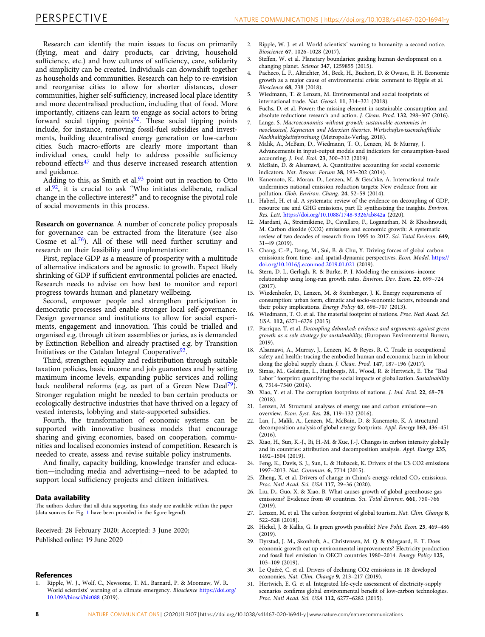<span id="page-7-0"></span>Research can identify the main issues to focus on primarily (flying, meat and dairy products, car driving, household sufficiency, etc.) and how cultures of sufficiency, care, solidarity and simplicity can be created. Individuals can downshift together as households and communities. Research can help to re-envision and reorganise cities to allow for shorter distances, closer communities, higher self-sufficiency, increased local place identity and more decentralised production, including that of food. More importantly, citizens can learn to engage as social actors to bring forward social tipping points $92$ . These social tipping points include, for instance, removing fossil-fuel subsidies and investments, building decentralised energy generation or low-carbon cities. Such macro-efforts are clearly more important than individual ones, could help to address possible sufficiency rebound effects<sup>[47](#page-8-0)</sup> and thus deserve increased research attention and guidance.

Adding to this, as Smith et al. $93$  point out in reaction to Otto et al. $92$ , it is crucial to ask "Who initiates deliberate, radical change in the collective interest?" and to recognise the pivotal role of social movements in this process.

Research on governance. A number of concrete policy proposals for governance can be extracted from the literature (see also Cosme et al.[76\)](#page-8-0). All of these will need further scrutiny and research on their feasibility and implementation:

First, replace GDP as a measure of prosperity with a multitude of alternative indicators and be agnostic to growth. Expect likely shrinking of GDP if sufficient environmental policies are enacted. Research needs to advise on how best to monitor and report progress towards human and planetary wellbeing.

Second, empower people and strengthen participation in democratic processes and enable stronger local self-governance. Design governance and institutions to allow for social experiments, engagement and innovation. This could be trialled and organised e.g. through citizen assemblies or juries, as is demanded by Extinction Rebellion and already practised e.g. by Transition Initiatives or the Catalan Integral Cooperative $92$ .

Third, strengthen equality and redistribution through suitable taxation policies, basic income and job guarantees and by setting maximum income levels, expanding public services and rolling back neoliberal reforms (e.g. as part of a Green New Deal<sup>[79](#page-8-0)</sup>). Stronger regulation might be needed to ban certain products or ecologically destructive industries that have thrived on a legacy of vested interests, lobbying and state-supported subsidies.

Fourth, the transformation of economic systems can be supported with innovative business models that encourage sharing and giving economies, based on cooperation, communities and localised economies instead of competition. Research is needed to create, assess and revise suitable policy instruments.

And finally, capacity building, knowledge transfer and education—including media and advertising—need to be adapted to support local sufficiency projects and citizen initiatives.

#### Data availability

The authors declare that all data supporting this study are available within the paper (data sources for Fig. [1](#page-1-0) have been provided in the figure legend).

Received: 28 February 2020; Accepted: 3 June 2020; Published online: 19 June 2020

## **References**

1. Ripple, W. J., Wolf, C., Newsome, T. M., Barnard, P. & Moomaw, W. R. World scientists' warning of a climate emergency. Bioscience [https://doi.org/](https://doi.org/10.1093/biosci/biz088) [10.1093/biosci/biz088](https://doi.org/10.1093/biosci/biz088) (2019).

- 2. Ripple, W. J. et al. World scientists' warning to humanity: a second notice. Bioscience 67, 1026–1028 (2017).
- Steffen, W. et al. Planetary boundaries: guiding human development on a changing planet. Science 347, 1259855 (2015).
- 4. Pacheco, L. F., Altrichter, M., Beck, H., Buchori, D. & Owusu, E. H. Economic growth as a major cause of environmental crisis: comment to Ripple et al. Bioscience 68, 238 (2018).
- 5. Wiedmann, T. & Lenzen, M. Environmental and social footprints of international trade. Nat. Geosci. 11, 314–321 (2018).
- 6. Fuchs, D. et al. Power: the missing element in sustainable consumption and absolute reductions research and action. J. Clean. Prod. 132, 298–307 (2016).
- 7. Lange, S. Macroeconomics without growth: sustainable economies in neoclassical, Keynesian and Marxian theories. Wirtschaftswissenschaftliche Nachhaltigkeitsforschung (Metropolis-Verlag, 2018).
- 8. Malik, A., McBain, D., Wiedmann, T. O., Lenzen, M. & Murray, J. Advancements in input-output models and indicators for consumption-based accounting. J. Ind. Ecol. 23, 300–312 (2019).
- McBain, D. & Alsamawi, A. Quantitative accounting for social economic indicators. Nat. Resour. Forum 38, 193–202 (2014).
- 10. Kanemoto, K., Moran, D., Lenzen, M. & Geschke, A. International trade undermines national emission reduction targets: New evidence from air pollution. Glob. Environ. Chang. 24, 52–59 (2014).
- 11. Haberl, H. et al. A systematic review of the evidence on decoupling of GDP, resource use and GHG emissions, part II: synthesizing the insights. Environ. Res. Lett. <https://doi.org/10.1088/1748-9326/ab842a> (2020).
- 12. Mardani, A., Streimikiene, D., Cavallaro, F., Loganathan, N. & Khoshnoudi, M. Carbon dioxide (CO2) emissions and economic growth: A systematic review of two decades of research from 1995 to 2017. Sci. Total Environ. 649, 31–49 (2019).
- 13. Chang, C.-P., Dong, M., Sui, B. & Chu, Y. Driving forces of global carbon emissions: from time- and spatial-dynamic perspectives. Econ. Model. [https://](https://doi.org/10.1016/j.econmod.2019.01.021) [doi.org/10.1016/j.econmod.2019.01.021](https://doi.org/10.1016/j.econmod.2019.01.021) (2019).
- 14. Stern, D. I., Gerlagh, R. & Burke, P. J. Modeling the emissions–income relationship using long-run growth rates. Environ. Dev. Econ. 22, 699–724  $(2017)$
- 15. Wiedenhofer, D., Lenzen, M. & Steinberger, J. K. Energy requirements of consumption: urban form, climatic and socio-economic factors, rebounds and their policy implications. Energy Policy 63, 696-707 (2013).
- 16. Wiedmann, T. O. et al. The material footprint of nations. Proc. Natl Acad. Sci. USA. 112, 6271–6276 (2015).
- 17. Parrique, T. et al. Decoupling debunked: evidence and arguments against green growth as a sole strategy for sustainability, (European Environmental Bureau, 2019).
- 18. Alsamawi, A., Murray, J., Lenzen, M. & Reyes, R. C. Trade in occupational safety and health: tracing the embodied human and economic harm in labour along the global supply chain. J. Clean. Prod. 147, 187–196 (2017).
- 19. Simas, M., Golsteijn, L., Huijbregts, M., Wood, R. & Hertwich, E. The "Bad Labor" footprint: quantifying the social impacts of globalization. Sustainability 6, 7514–7540 (2014).
- 20. Xiao, Y. et al. The corruption footprints of nations. J. Ind. Ecol. 22, 68–78 (2018).
- 21. Lenzen, M. Structural analyses of energy use and carbon emissions—an overview. Econ. Syst. Res. 28, 119–132 (2016).
- 22. Lan, J., Malik, A., Lenzen, M., McBain, D. & Kanemoto, K. A structural decomposition analysis of global energy footprints. Appl. Energy 163, 436–451 (2016).
- 23. Xiao, H., Sun, K.-J., Bi, H.-M. & Xue, J.-J. Changes in carbon intensity globally and in countries: attribution and decomposition analysis. Appl. Energy 235, 1492–1504 (2019).
- 24. Feng, K., Davis, S. J., Sun, L. & Hubacek, K. Drivers of the US CO2 emissions 1997–2013. Nat. Commun. 6, 7714 (2015).
- 25. Zheng, X. et al. Drivers of change in China's energy-related  $CO<sub>2</sub>$  emissions. Proc. Natl Acad. Sci. USA 117, 29–36 (2020).
- 26. Liu, D., Guo, X. & Xiao, B. What causes growth of global greenhouse gas emissions? Evidence from 40 countries. Sci. Total Environ. 661, 750–766 (2019).
- 27. Lenzen, M. et al. The carbon footprint of global tourism. Nat. Clim. Change 8, 522–528 (2018).
- 28. Hickel, J. & Kallis, G. Is green growth possible? New Polit. Econ. 25, 469–486  $(2019)$
- 29. Dyrstad, J. M., Skonhoft, A., Christensen, M. Q. & Ødegaard, E. T. Does economic growth eat up environmental improvements? Electricity production and fossil fuel emission in OECD countries 1980–2014. Energy Policy 125, 103–109 (2019).
- 30. Le Quéré, C. et al. Drivers of declining CO2 emissions in 18 developed economies. Nat. Clim. Change 9, 213–217 (2019).
- 31. Hertwich, E. G. et al. Integrated life-cycle assessment of electricity-supply scenarios confirms global environmental benefit of low-carbon technologies. Proc. Natl Acad. Sci. USA 112, 6277–6282 (2015).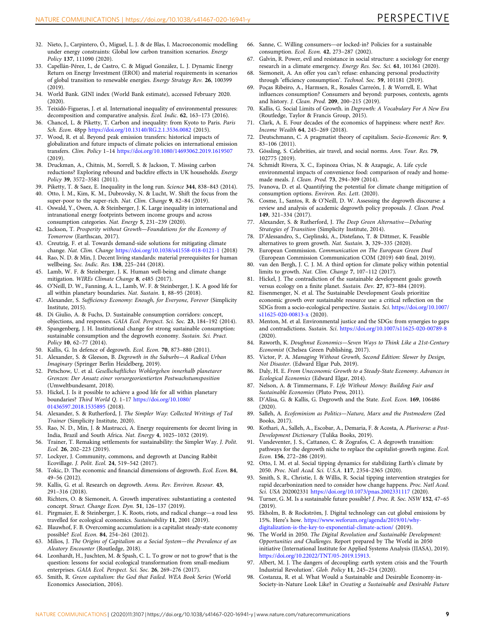- <span id="page-8-0"></span>32. Nieto, J., Carpintero, Ó., Miguel, L. J. & de Blas, I. Macroeconomic modelling under energy constraints: Global low carbon transition scenarios. Energy Policy 137, 111090 (2020).
- 33. Capellán-Pérez, I., de Castro, C. & Miguel González, L. J. Dynamic Energy Return on Energy Investment (EROI) and material requirements in scenarios of global transition to renewable energies. Energy Strategy Rev. 26, 100399 (2019).
- 34. World Bank. GINI index (World Bank estimate), accessed February 2020. (2020).
- 35. Teixidó-Figueras, J. et al. International inequality of environmental pressures: decomposition and comparative analysis. Ecol. Indic. 62, 163–173 (2016).
- 36. Chancel, L. & Piketty, T. Carbon and inequality: from Kyoto to Paris. Paris Sch. Econ. 48pp <https://doi.org/10.13140/RG.2.1.3536.0082> (2015).
- 37. Wood, R. et al. Beyond peak emission transfers: historical impacts of globalization and future impacts of climate policies on international emission transfers. Clim. Policy 1–14 <https://doi.org/10.1080/14693062.2019.1619507> (2019).
- 38. Druckman, A., Chitnis, M., Sorrell, S. & Jackson, T. Missing carbon reductions? Exploring rebound and backfire effects in UK households. Energy Policy 39, 3572–3581 (2011).
- Piketty, T. & Saez, E. Inequality in the long run. Science 344, 838-843 (2014).
- 40. Otto, I. M., Kim, K. M., Dubrovsky, N. & Lucht, W. Shift the focus from the super-poor to the super-rich. Nat. Clim. Change 9, 82-84 (2019).
- 41. Oswald, Y., Owen, A. & Steinberger, J. K. Large inequality in international and intranational energy footprints between income groups and across consumption categories. Nat. Energy 5, 231–239 (2020).
- 42. Jackson, T. Prosperity without Growth—Foundations for the Economy of Tomorrow (Earthscan, 2017).
- 43. Creutzig, F. et al. Towards demand-side solutions for mitigating climate change. Nat. Clim. Change <https://doi.org/10.1038/s41558-018-0121-1> (2018)
- 44. Rao, N. D. & Min, J. Decent living standards: material prerequisites for human wellbeing. Soc. Indic. Res. 138, 225–244 (2018).
- 45. Lamb, W. F. & Steinberger, J. K. Human well-being and climate change mitigation. WIREs Climate Change 8, e485 (2017).
- 46. O'Neill, D. W., Fanning, A. L., Lamb, W. F. & Steinberger, J. K. A good life for all within planetary boundaries. Nat. Sustain. 1, 88–95 (2018).
- 47. Alexander, S. Sufficiency Economy: Enough, for Everyone, Forever (Simplicity Institute, 2015).
- 48. Di Giulio, A. & Fuchs, D. Sustainable consumption corridors: concept, objections, and responses. GAIA Ecol. Perspect. Sci. Soc. 23, 184–192 (2014).
- Spangenberg, J. H. Institutional change for strong sustainable consumption: sustainable consumption and the degrowth economy. Sustain. Sci. Pract. Policy 10, 62–77 (2014).
- 50. Kallis, G. In defence of degrowth. Ecol. Econ. 70, 873–880 (2011).
- 51. Alexander, S. & Gleeson, B. Degrowth in the Suburbs—A Radical Urban Imaginary (Springer Berlin Heidelberg, 2019).
- 52. Petschow, U. et al. Gesellschaftliches Wohlergehen innerhalb planetarer Grenzen: Der Ansatz einer vorsorgeorientierten Postwachstumsposition (Umweltbundesamt, 2018).
- 53. Hickel, J. Is it possible to achieve a good life for all within planetary boundaries? Third World Q. 1–17 [https://doi.org/10.1080/](https://doi.org/10.1080/01436597.2018.1535895) [01436597.2018.1535895](https://doi.org/10.1080/01436597.2018.1535895) (2018).
- 54. Alexander, S. & Rutherford, J. The Simpler Way: Collected Writings of Ted Trainer (Simplicity Institute, 2020).
- 55. Rao, N. D., Min, J. & Mastrucci, A. Energy requirements for decent living in India, Brazil and South Africa. Nat. Energy 4, 1025–1032 (2019).
- 56. Trainer, T. Remaking settlements for sustainability: the Simpler Way. J. Polit. Ecol. 26, 202–223 (2019).
- Lockyer, J. Community, commons, and degrowth at Dancing Rabbit Ecovillage. J. Polit. Ecol. 24, 519–542 (2017).
- 58. Tokic, D. The economic and financial dimensions of degrowth. Ecol. Econ. 84, 49–56 (2012).
- 59. Kallis, G. et al. Research on degrowth. Annu. Rev. Environ. Resour. 43, 291–316 (2018).
- 60. Richters, O. & Siemoneit, A. Growth imperatives: substantiating a contested concept. Struct. Change Econ. Dyn. 51, 126–137 (2019).
- 61. Pirgmaier, E. & Steinberger, J. K. Roots, riots, and radical change—a road less travelled for ecological economics. Sustainability 11, 2001 (2019).
- 62. Blauwhof, F. B. Overcoming accumulation: is a capitalist steady-state economy possible? Ecol. Econ. 84, 254–261 (2012).
- 63. Milios, J. The Origins of Capitalism as a Social System—the Prevalence of an Aleatory Encounter (Routledge, 2018).
- Leonhardt, H., Juschten, M. & Spash, C. L. To grow or not to grow? that is the question: lessons for social ecological transformation from small-medium enterprises. GAIA Ecol. Perspect. Sci. Soc. 26, 269–276 (2017).
- 65. Smith, R. Green capitalism: the God that Failed. WEA Book Series (World Economics Association, 2016).
- 66. Sanne, C. Willing consumers—or locked-in? Policies for a sustainable consumption. Ecol. Econ. 42, 273–287 (2002).
- 67. Galvin, R. Power, evil and resistance in social structure: a sociology for energy research in a climate emergency. Energy Res. Soc. Sci. 61, 101361 (2020).
- 68. Siemoneit, A. An offer you can't refuse: enhancing personal productivity through 'efficiency consumption'. Technol. Soc. 59, 101181 (2019).
- 69. Poças Ribeiro, A., Harmsen, R., Rosales Carreón, J. & Worrell, E. What influences consumption? Consumers and beyond: purposes, contexts, agents and history. J. Clean. Prod. 209, 200–215 (2019).
- 70. Kallis, G. Social Limits of Growth. in Degrowth: A Vocabulary For A New Era (Routledge, Taylor & Francis Group, 2015).
- 71. Clark, A. E. Four decades of the economics of happiness: where next? Rev. Income Wealth 64, 245–269 (2018).
- 72. Deutschmann, C. A pragmatist theory of capitalism. Socio-Economic Rev. 9, 83–106 (2011).
- 73. Gössling, S. Celebrities, air travel, and social norms. Ann. Tour. Res. 79, 102775 (2019).
- 74. Schmidt Rivera, X. C., Espinoza Orias, N. & Azapagic, A. Life cycle environmental impacts of convenience food: comparison of ready and homemade meals. J. Clean. Prod. 73, 294–309 (2014).
- 75. Ivanova, D. et al. Quantifying the potential for climate change mitigation of consumption options. Environ. Res. Lett. (2020).
- 76. Cosme, I., Santos, R. & O'Neill, D. W. Assessing the degrowth discourse: a review and analysis of academic degrowth policy proposals. J. Clean. Prod. 149, 321–334 (2017).
- 77. Alexander, S. & Rutherford, J. The Deep Green Alternative—Debating Strategies of Transition (Simplicity Institute, 2014).
- 78. D'Alessandro, S., Cieplinski, A., Distefano, T. & Dittmer, K. Feasible alternatives to green growth. Nat. Sustain. 3, 329–335 (2020).
- 79. European Commission. Communication on The European Green Deal (European Commission Communication COM (2019) 640 final, 2019).
- 80. van den Bergh, J. C. J. M. A third option for climate policy within potential limits to growth. Nat. Clim. Change 7, 107–112 (2017).
- 81. Hickel, J. The contradiction of the sustainable development goals: growth versus ecology on a finite planet. Sustain. Dev. 27, 873–884 (2019).
- 82. Eisenmenger, N. et al. The Sustainable Development Goals prioritize economic growth over sustainable resource use: a critical reflection on the SDGs from a socio-ecological perspective. Sustain. Sci. [https://doi.org/10.1007/](https://doi.org/10.1007/s11625-020-00813-x) [s11625-020-00813-x](https://doi.org/10.1007/s11625-020-00813-x) (2020).
- 83. Menton, M. et al. Environmental justice and the SDGs: from synergies to gaps and contradictions. Sustain. Sci. <https://doi.org/10.1007/s11625-020-00789-8> (2020).
- 84. Raworth, K. Doughnut Economics—Seven Ways to Think Like a 21st-Century Economist (Chelsea Green Publishing, 2017).
- 85. Victor, P. A. Managing Without Growth, Second Edition: Slower by Design, Not Disaster. (Edward Elgar Pub, 2019).
- 86. Daly, H. E. From Uneconomic Growth to a Steady-State Economy. Advances in Ecological Economics (Edward Elgar, 2014).
- 87. Nelson, A. & Timmermans, F. Life Without Money: Building Fair and Sustainable Economies (Pluto Press, 2011).
- 88. D'Alisa, G. & Kallis, G. Degrowth and the State. Ecol. Econ. 169, 106486 (2020).
- 89. Salleh, A. Ecofeminism as Politics—Nature, Marx and the Postmodern (Zed Books, 2017).
- 90. Kothari, A., Salleh, A., Escobar, A., Demaria, F. & Acosta, A. Pluriverse: a Post-Development Dictionary (Tulika Books, 2019).
- 91. Vandeventer, J. S., Cattaneo, C. & Zografos, C. A degrowth transition: pathways for the degrowth niche to replace the capitalist-growth regime. Ecol. Econ. 156, 272–286 (2019).
- 92. Otto, I. M. et al. Social tipping dynamics for stabilizing Earth's climate by 2050. Proc. Natl Acad. Sci. U.S.A. 117, 2354–2365 (2020).
- 93. Smith, S. R., Christie, I. & Willis, R. Social tipping intervention strategies for rapid decarbonization need to consider how change happens. Proc. Natl Acad. Sci. USA 202002331 <https://doi.org/10.1073/pnas.2002331117> (2020).
- 94. Turner, G. M. Is a sustainable future possible? J. Proc. R. Soc. NSW 152, 47–65  $(2019)$
- 95. Ekholm, B. & Rockström, J. Digital technology can cut global emissions by 15%. Here's how. [https://www.weforum.org/agenda/2019/01/why](https://www.weforum.org/agenda/2019/01/why-digitalization-is-the-key-to-exponential-climate-action/)[digitalization-is-the-key-to-exponential-climate-action/](https://www.weforum.org/agenda/2019/01/why-digitalization-is-the-key-to-exponential-climate-action/) (2019).
- 96. The World in 2050. The Digital Revolution and Sustainable Development: Opportunities and Challenges. Report prepared by The World in 2050 initiative (International Institute for Applied Systems Analysis (IIASA), 2019). <https://doi.org/10.22022/TNT/05-2019.15913>.
- 97. Albert, M. J. The dangers of decoupling: earth system crisis and the 'Fourth Industrial Revolution'. Glob. Policy 11, 245–254 (2020).
- 98. Costanza, R. et al. What Would a Sustainable and Desirable Economy-in-Society-in-Nature Look Like? in Creating a Sustainable and Desirable Future